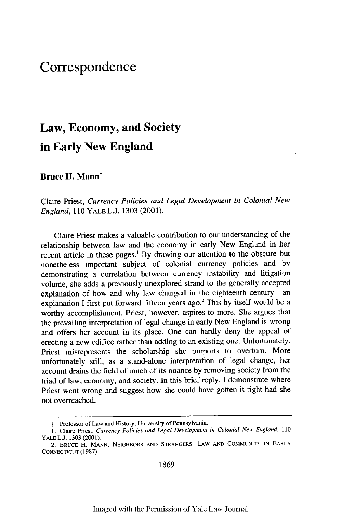## **Correspondence**

## **Law, Economy, and Society in Early New England**

**Bruce H. Mann<sup>t</sup>** 

## Claire Priest, *Currency Policies and Legal Development in Colonial New England,* **110** YALE **L.J. 1303** (2001).

Claire Priest makes a valuable contribution to our understanding of the relationship between law and the economy in early New England in her recent article in these pages.' **By** drawing our attention to the obscure but nonetheless important subject of colonial currency policies and **by** demonstrating a correlation between currency instability and litigation volume, she adds a previously unexplored strand to the generally accepted explanation of how and why law changed in the eighteenth century-an explanation I first put forward fifteen years ago.' This **by** itself would be a worthy accomplishment. Priest, however, aspires to more. She argues that the prevailing interpretation of legal change in early New England is wrong and offers her account in its place. One can hardly deny the appeal of erecting a new edifice rather than adding to an existing one. Unfortunately, Priest misrepresents the scholarship she purports to overturn. More unfortunately still, as a stand-alone interpretation of legal change, her account drains the field of much of its nuance by removing society from the triad of law, economy, and society. In this brief reply, I demonstrate where Priest went wrong and suggest how she could have gotten it right had she not overreached.

**f** Professor of Law and History, University of Pennsylvania.

<sup>1.</sup> Claire Priest, *Currency Policies and Legal Development in Colonial New England,* <sup>110</sup> YALE L.J. 1303 (2001).

<sup>2.</sup> BRUCE H. MANN, NEIGHBORS AND STRANGERS: LAW AND COMMUNITY IN EARLY CONNECTICUT (1987).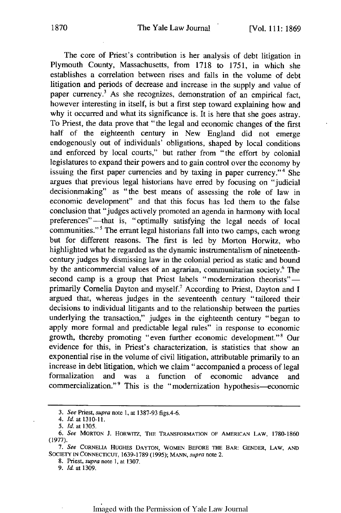The core of Priest's contribution is her analysis of debt litigation in Plymouth County, Massachusetts, from 1718 to 1751, in which she establishes a correlation between rises and falls in the volume of debt litigation and periods of decrease and increase in the supply and value of paper currency.<sup>3</sup> As she recognizes, demonstration of an empirical fact, however interesting in itself, is but a first step toward explaining how and why it occurred and what its significance is. It is here that she goes astray. To Priest, the data prove that "the legal and economic changes of the first half of the eighteenth century in New England did not emerge endogenously out of individuals' obligations, shaped by local conditions and enforced by local courts," but rather from "the effort by colonial legislatures to expand their powers and to gain control over the economy by issuing the first paper currencies and by taxing in paper currency."<sup>4</sup> She argues that previous legal historians have erred by focusing on "judicial decisionmaking" as "the best means of assessing the role of law in economic development" and that this focus has led them to the false conclusion that "judges actively promoted an agenda in harmony with local preferences"—that is, "optimally satisfying the legal needs of local communities."<sup>5</sup> The errant legal historians fall into two camps, each wrong but for different reasons. The first is led by Morton Horwitz, who highlighted what he regarded as the dynamic instrumentalism of nineteenthcentury judges by dismissing law in the colonial period as static and bound by the anticommercial values of an agrarian, communitarian society.6 The second camp is a group that Priest labels "modernization theorists"primarily Cornelia Dayton and myself.<sup>7</sup> According to Priest, Dayton and I argued that, whereas judges in the seventeenth century "tailored their decisions to individual litigants and to the relationship between the parties underlying the transaction," judges in the eighteenth century "began to apply more formal and predictable legal rules" in response to economic growth, thereby promoting "even further economic development." 8 Our evidence for this, in Priest's characterization, is statistics that show an exponential rise in the volume of civil litigation, attributable primarily to an increase in debt litigation, which we claim "accompanied a process of legal formalization and was a function of economic advance and commercialization."<sup>9</sup> This is the "modernization hypothesis—economic

*9. Id.* at 1309.

*<sup>3.</sup> See* Priest, *supra* note 1, at 1387-93 figs.4-6.

*<sup>4.</sup> Id.* at 1310-11.

<sup>5.</sup> *Id.* at *1305.*

*<sup>6.</sup> See* MORTON **J.** HoRwrrz, THE TRANSFORMATION **OF AMERICAN** LAW, 1780-1860 (1977).

<sup>7.</sup> *See* **CORNELIA HUGHES DAYTON,** WOMEN BEFORE **THE** BAR: **GENDER,** LAW, **AND SOCIETY IN CONNECTICUT,** 1639-1789 (1995); **MANN,** *supra* note 2.

<sup>8.</sup> Priest, *supra* note 1, at 1307.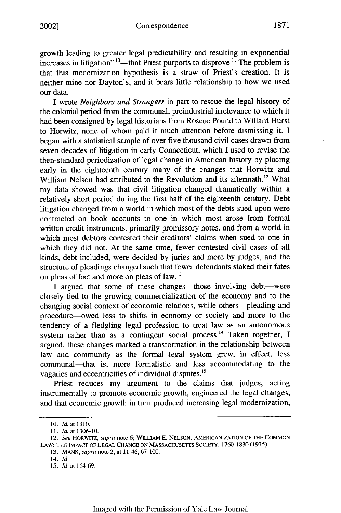I wrote *Neighbors and Strangers* in part to rescue the legal history of the colonial period from the communal, preindustrial irrelevance to which it had been consigned by legal historians from Roscoe Pound to Willard Hurst to Horwitz, none of whom paid it much attention before dismissing it. I began with a statistical sample of over five thousand civil cases drawn from seven decades of litigation in early Connecticut, which I used to revise the then-standard periodization of legal change in American history by placing early in the eighteenth century many of the changes that Horwitz and William Nelson had attributed to the Revolution and its aftermath.<sup>12</sup> What my data showed was that civil litigation changed dramatically within a relatively short period during the first half of the eighteenth century. Debt litigation changed from a world in which most of the debts sued upon were contracted on book accounts to one in which most arose from formal written credit instruments, primarily promissory notes, and from a world in which most debtors contested their creditors' claims when sued to one in which they did not. At the same time, fewer contested civil cases of all kinds, debt included, were decided by juries and more by judges, and the structure of pleadings changed such that fewer defendants staked their fates on pleas of fact and more on pleas of law.<sup>13</sup>

I argued that some of these changes—those involving debt—were closely tied to the growing commercialization of the economy and to the changing social context of economic relations, while others—pleading and procedure---owed less to shifts in economy or society and more to the tendency of a fledgling legal profession to treat law as an autonomous system rather than as a contingent social process.<sup>14</sup> Taken together, I argued, these changes marked a transformation in the relationship between law and community as the formal legal system grew, in effect, less communal-that is, more formalistic and less accommodating to the vagaries and eccentricities of individual disputes."

Priest reduces my argument to the claims that judges, acting instrumentally to promote economic growth, engineered the legal changes, and that economic growth in turn produced increasing legal modernization,

13. MANN, *supra* note 2, at 11-46, 67-100.

*15.* Id. at 164-69.

<sup>10.</sup> *Id.* at 1310.

<sup>11.</sup> *Id.* at 1306-10.

<sup>12.</sup> *See HORWITz, supra* note 6; WILLIAM **E.** NELSON, AMERICANIZATION OF THE COMMON LAW: THE IMPACT OF LEGAL CHANGE ON MASSACHUSETTS SOCIETY, 1760-1830 (1975).

<sup>14.</sup> *Id.*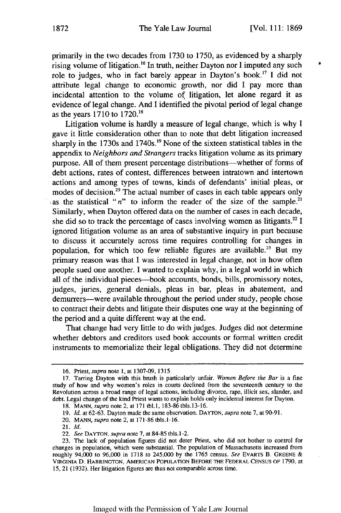primarily in the two decades from 1730 to 1750, as evidenced by a sharply rising volume of litigation.<sup>16</sup> In truth, neither Dayton nor I imputed any such role to judges, who in fact barely appear in Dayton's book.<sup>17</sup> I did not attribute legal change to economic growth, nor did I pay more than incidental attention to the volume of litigation, let alone regard it as evidence of legal change. And I identified the pivotal period of legal change as the years  $1710$  to  $1720$ .<sup>18</sup>

Litigation volume is hardly a measure of legal change, which is why I gave it little consideration other than to note that debt litigation increased sharply in the  $1730s$  and  $1740s$ .<sup>19</sup> None of the sixteen statistical tables in the appendix to *Neighbors and Strangers* tracks litigation volume as its primary purpose. All of them present percentage distributions—whether of forms of debt actions, rates of contest, differences between intratown and intertown actions and among types of towns, kinds of defendants' initial pleas, or modes of decision.<sup>20</sup> The actual number of cases in each table appears only as the statistical " $n$ " to inform the reader of the size of the sample.<sup>21</sup> Similarly, when Dayton offered data on the number of cases in each decade, she did so to track the percentage of cases involving women as litigants.<sup>22</sup> I ignored litigation volume as an area of substantive inquiry in part because to discuss it accurately across time requires controlling for changes in population, for which too few reliable figures are available.<sup>23</sup> But my primary reason was that I was interested in legal change, not in how often people sued one another. I wanted to explain why, in a legal world in which all of the individual pieces—book accounts, bonds, bills, promissory notes, judges, juries, general denials, pleas in bar, pleas in abatement, and demurrers—were available throughout the period under study, people chose to contract their debts and litigate their disputes one way at the beginning of the period and a quite different way at the end.

That change had very little to do with judges. Judges did not determine whether debtors and creditors used book accounts or formal written credit instruments to memorialize their legal obligations. They did not determine

<sup>16.</sup> Priest, *supra* note 1, at 1307-09, 1315.

<sup>17.</sup> Tarring Dayton with this brush is particularly unfair. *Women Before the Bar* is a fine study of how and why women's roles in courts declined from the seventeenth century to the Revolution across a broad range of legal actions, including divorce, rape, illicit sex, slander, and debt. Legal change of the kind Priest wants to explain holds only incidental interest for Dayton.

<sup>18.</sup> MANN, *supra* note 2, at 171 tbl.1, 183-86 tbls.13-16.

<sup>19.</sup> *Id.* at 62-63. Dayton made the same observation. DAYTON, supra note 7, at 90-9 1.

<sup>20.</sup> **MANN,** *supra* note 2, at 171-86 tbls.l-16.

<sup>21.</sup> *id.*

<sup>22.</sup> See **DAYTON,** supra note 7, at 84-85 tbls.1-2.

<sup>23.</sup> The lack of population figures did not deter Priest, who did not bother to control for changes in population, which were substantial. The population of Massachusetts increased from roughly 94,000 to 96,000 in 1718 to 245,000 by the 1765 census. *See* EVARTS B. GREENE & VIRGINIA D. HARRINGTON, AMERICAN POPULATION BEFORE THE FEDERAL CENSUS OF 1790, at **15,** 21 (1932). Her litigation figures are thus not comparable across time.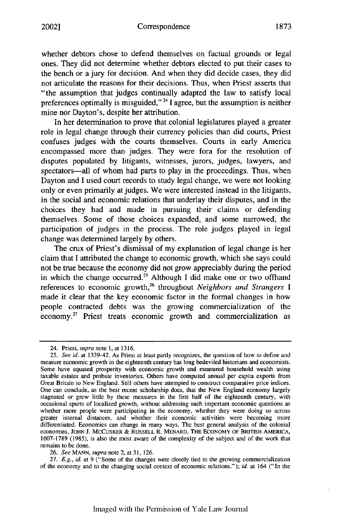whether debtors chose to defend themselves on factual grounds or legal ones. They did not determine whether debtors elected to put their cases to the bench or a jury for decision. And when they did decide cases, they did not articulate the reasons for their decisions. Thus, when Priest asserts that "the assumption that judges continually adapted the law to satisfy local preferences optimally is misguided," 24 1 agree, but the assumption is neither mine nor Dayton's, despite her attribution.

In her determination to prove that colonial legislatures played a greater role in legal change through their currency policies than did courts, Priest confuses judges with the courts themselves. Courts in early America encompassed more than judges. They were fora for the resolution of disputes populated by litigants, witnesses, jurors, judges, lawyers, and spectators—all of whom had parts to play in the proceedings. Thus, when Dayton and I used court records to study legal change, we were not looking only or even primarily at judges. We were interested instead in the litigants, in the social and economic relations that underlay their disputes, and in the choices they had and made in pursuing their claims or defending themselves. Some of those choices expanded, and some narrowed, the participation of judges in the process. The role judges played in legal change was determined largely by others.

The crux of Priest's dismissal of my explanation of legal change is her claim that I attributed the change to economic growth, which she says could not be true because the economy did not grow appreciably during the period in which the change occurred.<sup>25</sup> Although I did make one or two offhand references to economic growth,26 throughout *Neighbors and Strangers I* made it clear that the key economic factor in the formal changes in how people contracted debts was the growing commercialization of the economy." Priest treats economic growth and commercialization as

27.  $E.g., id.$  at 9 ("Some of the changes were closely tied to the growing commercialization of the economy and to the changing social context of economic relations."); id. at 164 ("In the

<sup>24.</sup> Priest, *supra* note 1, at 1316.

<sup>25.</sup> *See* id. at 1339-42. As Priest at least partly recognizes, the question of how to define and measure economic growth in the eighteenth century has long bedeviled historians and economists. Some have equated prosperity with economic growth and measured household wealth using taxable estates and probate inventories. Others have computed annual per capita exports from Great Britain to New England. Still others have attempted to construct comparative price indices. One can conclude, as the best recent scholarship does, that the New England economy largely stagnated or grew little by these measures in the first half of the eighteenth century, with occasional spurts of localized growth, without addressing such important economic questions as whether more people were participating in the economy, whether they were doing so across greater internal distances, and whether their economic activities were becoming more differentiated. Economics can change in many ways. The best general analysis of the colonial economies, JOHN J. MCCUSKER & RUSSELL R. MENARD, THE ECONOMY OF BRITISH AMERICA, 1607-1789 (1985), is also the most aware of the complexity of the subject and of the work that remains to be done.

<sup>26.</sup> See MANN, *supra* note 2, at **31,** 126.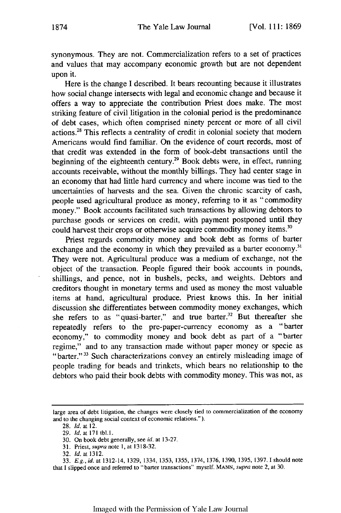synonymous. They are not. Commercialization refers to a set of practices and values that may accompany economic growth but are not dependent upon it.

Here is the change I described. It bears recounting because it illustrates how social change intersects with legal and economic change and because it offers a way to appreciate the contribution Priest does make. The most striking feature of civil litigation in the colonial period is the predominance of debt cases, which often comprised ninety percent or more of all civil actions.28 This reflects a centrality of credit in colonial society that modem Americans would find familiar. On the evidence of court records, most of that credit was extended in the form of book-debt transactions until the beginning of the eighteenth century.<sup>29</sup> Book debts were, in effect, running accounts receivable, without the monthly billings. They had center stage in an economy that had little hard currency and where income was tied to the uncertainties of harvests and the sea. Given the chronic scarcity of cash, people used agricultural produce as money, referring to it as "commodity money." Book accounts facilitated such transactions by allowing debtors to purchase goods or services on credit, with payment postponed until they could harvest their crops or otherwise acquire commodity money items.<sup>30</sup>

Priest regards commodity money and book debt as forms of barter exchange and the economy in which they prevailed as a barter economy.<sup>31</sup> They were not. Agricultural produce was a medium of exchange, not the object of the transaction. People figured their book accounts in pounds, shillings, and pence, not in bushels, pecks, and weights. Debtors and creditors thought in monetary terms and used as money the most valuable items at hand, agricultural produce. Priest knows this. In her initial discussion she differentiates between commodity money exchanges, which she refers to as "quasi-barter," and true barter.<sup>32</sup> But thereafter she repeatedly refers to the pre-paper-currency economy as a "barter economy," to commodity money and book debt as part of a "barter regime," and to any transaction made without paper money or specie as "barter."<sup>33</sup> Such characterizations convey an entirely misleading image of people trading for beads and trinkets, which bears no relationship to the debtors who paid their book debts with commodity money. This was not, as

large area of debt litigation, the changes were closely tied to commercialization of the economy and to the changing social context of economic relations.").

**<sup>28.</sup>** *Id.* at 12.

**<sup>29.</sup>** *Id.* at 171 tbl.I.

<sup>30.</sup> On book debt generally, see *id.* at 13-27.

**<sup>31.</sup>** Priest, supra note **1,** at 1318-32.

<sup>32.</sup> **d.** at 1312.

**<sup>33.</sup>** *E.g., id.* at 1312-14, 1329, 1334, 1353, 1355, 1374, 1376, 1390, 1395, 1397. I should note that I slipped once and referred to "barter transactions" myself. MANN, *supra* note 2, at 30.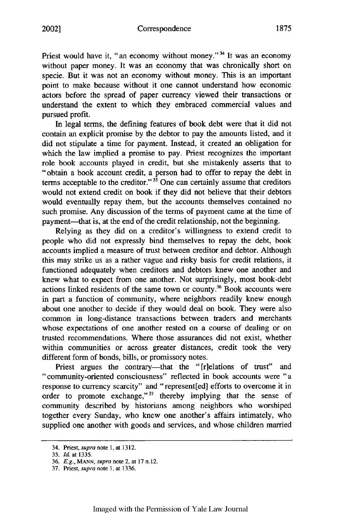Priest would have it, "an economy without money."<sup>34</sup> It was an economy without paper money. It was an economy that was chronically short on specie. But it was not an economy without money. This is an important point to make because without it one cannot understand how economic actors before the spread of paper currency viewed their transactions or understand the extent to which they embraced commercial values and pursued profit.

In legal terms, the defining features of book debt were that it did not contain an explicit promise by the debtor to pay the amounts listed, and it did not stipulate a time for payment. Instead, it created an obligation for which the law implied a promise to pay. Priest recognizes the important role book accounts played in credit, but she mistakenly asserts that to "obtain a book account credit, a person had to offer to repay the debt in terms acceptable to the creditor." $35$  One can certainly assume that creditors would not extend credit on book if they did not believe that their debtors would eventually repay them, but the accounts themselves contained no such promise. Any discussion of the terms of payment came at the time of payment—that is, at the end of the credit relationship, not the beginning.

Relying as they did on a creditor's willingness to extend credit to people who did not expressly bind themselves to repay the debt, book accounts implied a measure of trust between creditor and debtor. Although this may strike us as a rather vague and risky basis for credit relations, it functioned adequately when creditors and debtors knew one another and knew what to expect from one another. Not surprisingly, most book-debt actions linked residents of the same town or county.<sup>36</sup> Book accounts were in part a function of community, where neighbors readily knew enough about one another to decide if they would deal on book. They were also common in long-distance transactions between traders and merchants whose expectations of one another rested on a course of dealing or on trusted recommendations. Where those assurances did not exist, whether within communities or across greater distances, credit took the very different form of bonds, bills, or promissory notes.

Priest argues the contrary—that the "[relations of trust" and "community-oriented consciousness" reflected in book accounts were "a response to currency scarcity" and "represent[ed] efforts to overcome it in order to promote exchange," $37$  thereby implying that the sense of community described by historians among neighbors who worshiped together every Sunday, who knew one another's affairs intimately, who supplied one another with goods and services, and whose children married

<sup>34.</sup> Priest, *supra* note 1, at 1312.

<sup>35.</sup> *Id.* at 1335.

<sup>36.</sup> *E.g.,* MANN, *supra* note 2, at 17 n.12.

<sup>37.</sup> Priest, *supra* note 1, at 1336.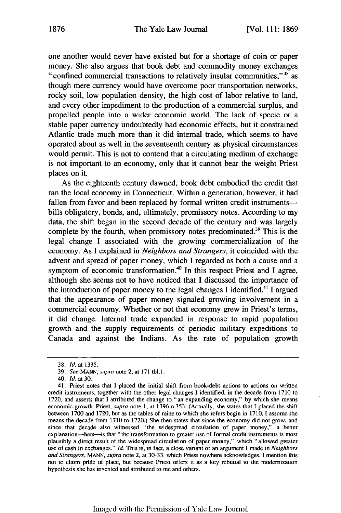one another would never have existed but for a shortage of coin or paper money. She also argues that book debt and commodity money exchanges "confined commercial transactions to relatively insular communities,"<sup>38</sup> as though mere currency would have overcome poor transportation networks, rocky soil, low population density, the high cost of labor relative to land, and every other impediment to the production of a commercial surplus, and propelled people into a wider economic world. The lack of specie or a stable paper currency undoubtedly had economic effects, but it constrained Atlantic trade much more than it did internal trade, which seems to have operated about as well in the seventeenth century as physical circumstances would permit. This is not to contend that a circulating medium of exchange is not important to an economy, only that it cannot bear the weight Priest places on it.

As the eighteenth century dawned, book debt embodied the credit that ran the local economy in Connecticut. Within a generation, however, it had fallen from favor and been replaced by formal written credit instrumentsbills obligatory, bonds, and, ultimately, promissory notes. According to my data, the shift began in the second decade of the century and was largely complete by the fourth, when promissory notes predominated.<sup>39</sup> This is the legal change I associated with the growing commercialization of the economy. As I explained in *Neighbors and Strangers,* it coincided with the advent and spread of paper money, which I regarded as both a cause and a symptom of economic transformation.<sup>40</sup> In this respect Priest and I agree, although she seems not to have noticed that I discussed the importance of the introduction of paper money to the legal changes I identified.<sup>41</sup> I argued that the appearance of paper money signaled growing involvement in a commercial economy. Whether or not that economy grew in Priest's terms, it did change. Internal trade expanded in response to rapid population growth and the supply requirements of periodic military expeditions to Canada and against the Indians. As the rate of population growth

<sup>38.</sup> Id. at 1335.

<sup>39.</sup> *See* MANN, *supra* note 2, at 171 tbl.1.

<sup>40.</sup> **Id** at 30.

<sup>41.</sup> Priest notes that I placed the initial shift from book-debt actions to actions on written credit instruments, together with the other legal changes I identified, in the decade from 1710 to 1720, and asserts that I attributed the change to "an expanding economy," by which she means economic growth. Priest, *supra* note 1, at 1396 n.353. (Actually, she states that I placed the shift between 1700 and 1720, but as the tables of mine to which she refers begin in 1710, I assume she means the decade from 1710 to 1720.) She then states that since the economy did not grow, and since that decade also witnessed "the widespread circulation of paper money," a better explanation-hers-is that "the transformation to greater use of formal credit instruments is most plausibly a direct result of the widespread circulation of paper money," which "allowed greater use of cash in exchanges." **Id.** This is, in fact, a close variant of an argument I made in Neighbors *and Strangers,* MANN, *supra* note 2, at 30-33, which Priest nowhere acknowledges. I mention this not to claim pride of place, but because Priest offers it as a key rebuttal to the modernization hypothesis she has invented and attributed to me and others.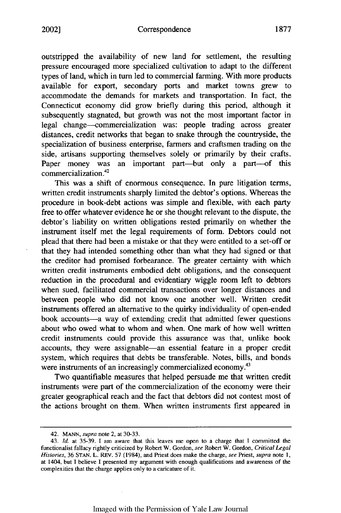outstripped the availability of new land for settlement, the resulting pressure encouraged more specialized cultivation to adapt to the different types of land, which in turn led to commercial farming. With more products available for export, secondary ports and market towns grew to accommodate the demands for markets and transportation. In fact, the Connecticut economy did grow briefly during this period, although it subsequently stagnated, but growth was not the most important factor in legal change--commercialization was: people trading across greater distances, credit networks that began to snake through the countryside, the specialization of business enterprise, farmers and craftsmen trading on the side, artisans supporting themselves solely or primarily by their crafts. Paper money was an important part—but only a part—of this commercialization .42

This was a shift of enormous consequence. In pure litigation terms, written credit instruments sharply limited the debtor's options. Whereas the procedure in book-debt actions was simple and flexible, with each party free to offer whatever evidence he or she thought relevant to the dispute, the debtor's liability on written obligations rested primarily on whether the instrument itself met the legal requirements of form. Debtors could not plead that there had been a mistake or that they were entitled to a set-off or that they had intended something other than what they had signed or that the creditor had promised forbearance. The greater certainty with which written credit instruments embodied debt obligations, and the consequent reduction in the procedural and evidentiary wiggle room left to debtors when sued, facilitated commercial transactions over longer distances and between people who did not know one another well. Written credit instruments offered an alternative to the quirky individuality of open-ended book accounts-a way of extending credit that admitted fewer questions about who owed what to whom and when. One mark of how well written credit instruments could provide this assurance was that, unlike book accounts, they were assignable-an essential feature in a proper credit system, which requires that debts be transferable. Notes, bills, and bonds were instruments of an increasingly commercialized economy.<sup>43</sup>

Two quantifiable measures that helped persuade me that written credit instruments were part of the commercialization of the economy were their greater geographical reach and the fact that debtors did not contest most of the actions brought on them. When written instruments first appeared in

<sup>42.</sup> MANN, supra note 2, at 30-33.

<sup>43.</sup> *Id.* at 35-39. I am aware that this leaves me open to a charge that I committed the functionalist fallacy rightly criticized by Robert W. Gordon, *see* Robert W. Gordon, *Critical Legal Histories,* 36 STAN. L. REV. 57 (1984), and Priest does make the charge, *see* Priest, *supra* note 1, at 1404, but I believe I presented my argument with enough qualifications and awareness of the complexities that the charge applies only to a caricature of it.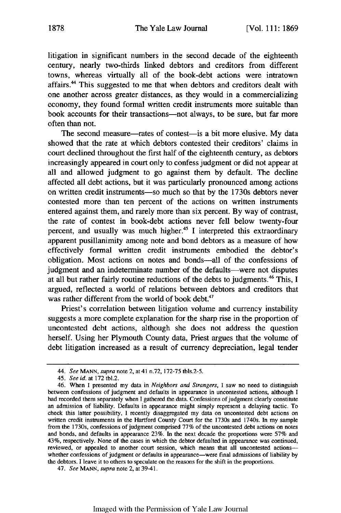litigation in significant numbers in the second decade of the eighteenth century, nearly two-thirds linked debtors and creditors from different towns, whereas virtually all of the book-debt actions were intratown affairs.<sup>44</sup> This suggested to me that when debtors and creditors dealt with one another across greater distances, as they would in a commercializing economy, they found formal written credit instruments more suitable than book accounts for their transactions-not always, to be sure, but far more often than not.

The second measure—rates of contest—is a bit more elusive. My data showed that the rate at which debtors contested their creditors' claims in court declined throughout the first half of the eighteenth century, as debtors increasingly appeared in court only to confess judgment or did not appear at all and allowed judgment to go against them by default. The decline affected all debt actions, but it was particularly pronounced among actions on written credit instruments-so much so that by the 1730s debtors never contested more than ten percent of the actions on written instruments entered against them, and rarely more than six percent. By way of contrast, the rate of contest in book-debt actions never fell below twenty-four percent, and usually was much higher.<sup>45</sup> I interpreted this extraordinary apparent pusillanimity among note and bond debtors as a measure of how effectively formal written credit instruments embodied the debtor's obligation. Most actions on notes and bonds-all of the confessions of judgment and an indeterminate number of the defaults-were not disputes at all but rather fairly routine reductions of the debts to judgments.<sup>46</sup> This, l argued, reflected a world of relations between debtors and creditors that was rather different from the world of book debt.<sup>47</sup>

Priest's correlation between litigation volume and currency instability suggests a more complete explanation for the sharp rise in the proportion of uncontested debt actions, although she does not address the question herself. Using her Plymouth County data, Priest argues that the volume of debt litigation increased as a result of currency depreciation, legal tender

*<sup>44.</sup> See* MANN, *supra* note 2, at 41 n.72, 172-75 tbis.2-5.

*<sup>45.</sup> See id.* at 172 tbl.2.

<sup>46.</sup> When I presented my data in *Neighbors and Strangers,* I saw no need to distinguish between confessions of judgment and defaults in appearance in uncontested actions, although I had recorded them separately when I gathered the data. Confessions of judgment clearly constitute an admission of liability. Defaults in appearance might simply represent a delaying tactic. To check this latter possibility, **I** recently disaggregated my data on uncontested debt actions on written credit instruments in the Hartford County Court for the 1730s and 1740s. In my sample from the 1730s, confessions of judgment comprised 77% of the uncontested debt actions on notes and bonds, and defaults in appearance 23%. In the next decade the proportions were 57% and 43%, respectively. None of the cases in which the debtor defaulted in appearance was continued, reviewed, or appealed to another court session, which means that all uncontested actionswhether confessions of judgment or defaults in appearance-were final admissions of liability by the debtors. I leave it to others to speculate on the reasons for the shift in the proportions.

<sup>47.</sup> See MANN, supra note 2, at 39-41.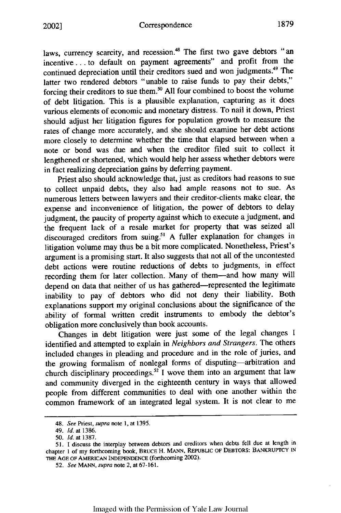laws, currency scarcity, and recession.<sup>48</sup> The first two gave debtors "an incentive.., to default on payment agreements" and profit from the continued depreciation until their creditors sued and won judgments.<sup>49</sup> The latter two rendered debtors "unable to raise funds to pay their debts," forcing their creditors to sue them.50 All four combined to boost the volume of debt litigation. This is a plausible explanation, capturing as it does various elements of economic and monetary distress. To nail it down, Priest should adjust her litigation figures for population growth to measure the rates of change more accurately, and she should examine her debt actions more closely to determine whether the time that elapsed between when a note or bond was due and when the creditor filed suit to collect it lengthened or shortened, which would help her assess whether debtors were in fact realizing depreciation gains by deferring payment.

Priest also should acknowledge that, just as creditors had reasons to sue to collect unpaid debts, they also had ample reasons not to sue. As numerous letters between lawyers and their creditor-clients make clear, the expense and inconvenience of litigation, the power of debtors to delay judgment, the paucity of property against which to execute a judgment, and the frequent lack of a resale market for property that was seized all discouraged creditors from suing.<sup>51</sup> A fuller explanation for changes in litigation volume may thus be a bit more complicated. Nonetheless, Priest's argument is a promising start. It also suggests that not all of the uncontested debt actions were routine reductions of debts to judgments, in effect recording them for later collection. Many of them-and how many will depend on data that neither of us has gathered-represented the legitimate inability to pay of debtors who did not deny their liability. Both explanations support my original conclusions about the significance of the ability of formal written credit instruments to embody the debtor's obligation more conclusively than book accounts.

Changes in debt litigation were just some of the legal changes I identified and attempted to explain in *Neighbors and Strangers.* The others included changes in pleading and procedure and in the role of juries, and the growing formalism of nonlegal forms of disputing-arbitration and church disciplinary proceedings.<sup>52</sup> I wove them into an argument that law and community diverged in the eighteenth century in ways that allowed people from different communities to deal with one another within the common framework of an integrated legal system. It is not clear to me

<sup>48.</sup> See Priest, *supra* note **1,** at 1395.

<sup>49.</sup> *Id.* at 1386.

<sup>50.</sup> *Id.* at 1387.

<sup>51.</sup> I discuss the interplay between debtors and creditors when debts fell due at length in chapter **1** of my forthcoming book, BRUCE H. **MANN,** REPUBLIC OF DEBTORS: BANKRUPTCY IN THE **AGE** OF AMERICAN **INDEPENDENCE** (forthcoming 2002).

<sup>52.</sup> See MANN, supra note 2, at 67-161.